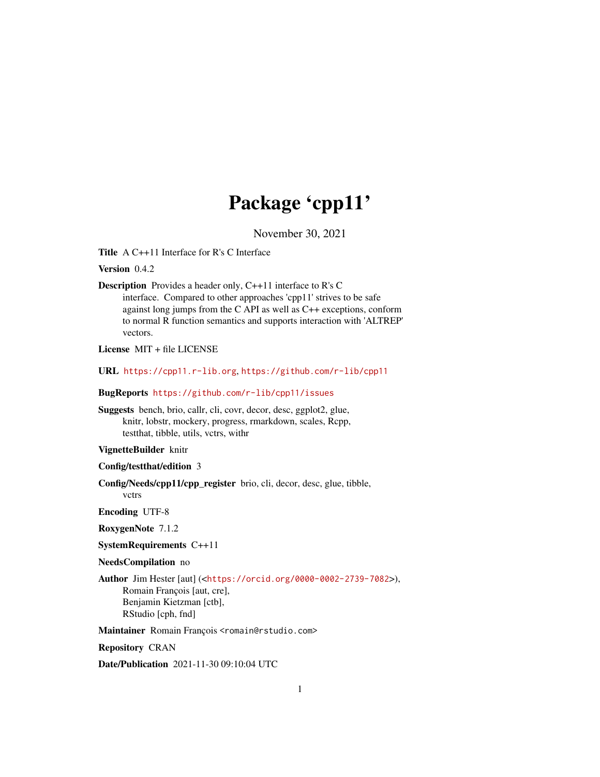# Package 'cpp11'

November 30, 2021

<span id="page-0-0"></span>Title A C++11 Interface for R's C Interface

Version 0.4.2

Description Provides a header only, C++11 interface to R's C interface. Compared to other approaches 'cpp11' strives to be safe against long jumps from the C API as well as C++ exceptions, conform to normal R function semantics and supports interaction with 'ALTREP' vectors.

License MIT + file LICENSE

URL <https://cpp11.r-lib.org>, <https://github.com/r-lib/cpp11>

BugReports <https://github.com/r-lib/cpp11/issues>

Suggests bench, brio, callr, cli, covr, decor, desc, ggplot2, glue, knitr, lobstr, mockery, progress, rmarkdown, scales, Rcpp, testthat, tibble, utils, vctrs, withr

# VignetteBuilder knitr

Config/testthat/edition 3

Config/Needs/cpp11/cpp\_register brio, cli, decor, desc, glue, tibble,

vctrs Encoding UTF-8

RoxygenNote 7.1.2

SystemRequirements C++11

NeedsCompilation no

Author Jim Hester [aut] (<<https://orcid.org/0000-0002-2739-7082>>), Romain François [aut, cre], Benjamin Kietzman [ctb], RStudio [cph, fnd]

Maintainer Romain François <romain@rstudio.com>

Repository CRAN

Date/Publication 2021-11-30 09:10:04 UTC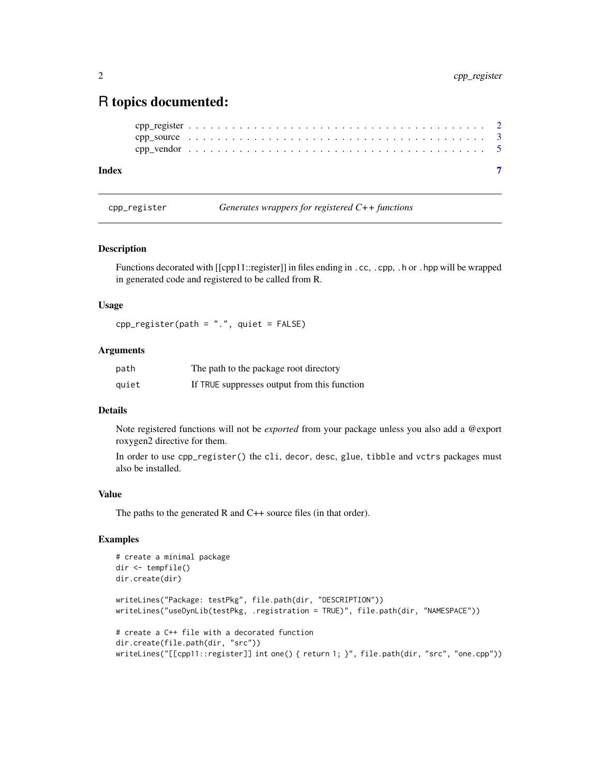# <span id="page-1-0"></span>R topics documented:

```
cpp_register . . . . . . . . . . . . . . . . . . . . . . . . . . . . . . . . . . . . . . . . . 2
cpp_source . . . . . . . . . . . . . . . . . . . . . . . . . . . . . . . . . . . . . . . . . 3
cpp_vendor . . . . . . . . . . . . . . . . . . . . . . . . . . . . . . . . . . . . . . . . . 5
```
#### **Index** [7](#page-6-0) **7**

cpp\_register *Generates wrappers for registered C++ functions*

#### Description

Functions decorated with [[cpp11::register]] in files ending in .cc, .cpp, .h or .hpp will be wrapped in generated code and registered to be called from R.

#### Usage

cpp\_register(path = ".", quiet = FALSE)

# Arguments

| path  | The path to the package root directory       |
|-------|----------------------------------------------|
| quiet | If TRUE suppresses output from this function |

# Details

Note registered functions will not be *exported* from your package unless you also add a @export roxygen2 directive for them.

In order to use cpp\_register() the cli, decor, desc, glue, tibble and vctrs packages must also be installed.

#### Value

The paths to the generated R and C++ source files (in that order).

# Examples

```
# create a minimal package
dir <- tempfile()
dir.create(dir)
writeLines("Package: testPkg", file.path(dir, "DESCRIPTION"))
writeLines("useDynLib(testPkg, .registration = TRUE)", file.path(dir, "NAMESPACE"))
# create a C++ file with a decorated function
dir.create(file.path(dir, "src"))
writeLines("[[cpp11::register]] int one() { return 1; }", file.path(dir, "src", "one.cpp"))
```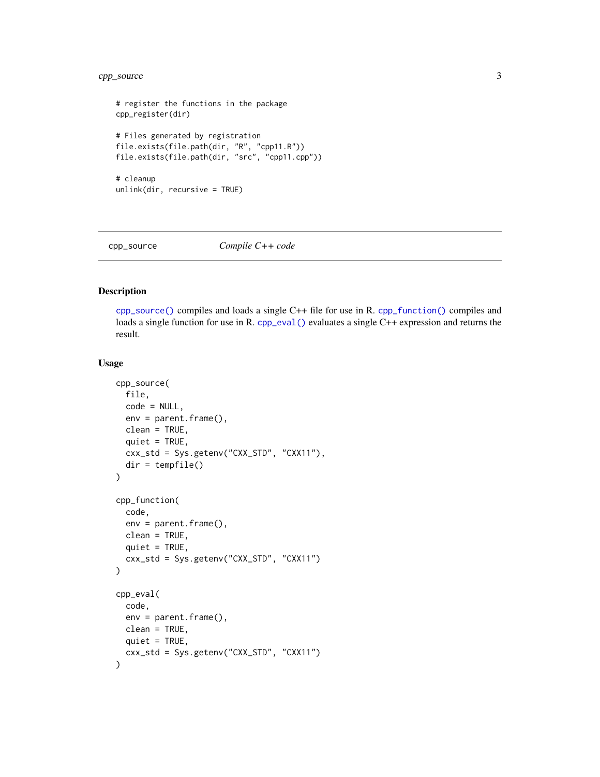# <span id="page-2-0"></span>cpp\_source 3

```
# register the functions in the package
cpp_register(dir)
# Files generated by registration
file.exists(file.path(dir, "R", "cpp11.R"))
file.exists(file.path(dir, "src", "cpp11.cpp"))
# cleanup
unlink(dir, recursive = TRUE)
```
<span id="page-2-1"></span>

#### cpp\_source *Compile C++ code*

# <span id="page-2-2"></span>Description

[cpp\\_source\(\)](#page-2-1) compiles and loads a single C++ file for use in R. [cpp\\_function\(\)](#page-2-2) compiles and loads a single function for use in R. [cpp\\_eval\(\)](#page-2-2) evaluates a single C++ expression and returns the result.

#### Usage

```
cpp_source(
  file,
  code = NULL,env = parent.frame(),
  clean = TRUE,
  quiet = TRUE,
 cxx_std = Sys.getenv("CXX_STD", "CXX11"),
 dir = tempfile()
\lambdacpp_function(
  code,
  env = parent.frame(),
 clean = TRUE,
 quiet = TRUE,
  cxx_std = Sys.getenv("CXX_STD", "CXX11")
\mathcal{L}cpp_eval(
  code,
 env = parent.Fname(),clean = TRUE,
 quiet = TRUE,
  cxx_std = Sys.getenv("CXX_STD", "CXX11")
)
```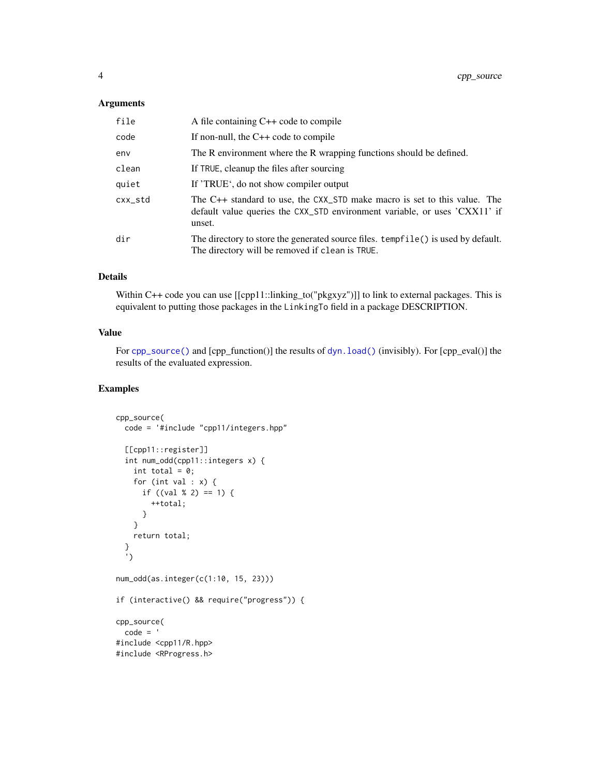# <span id="page-3-0"></span>Arguments

| file    | A file containing $C++$ code to compile                                                                                                                           |
|---------|-------------------------------------------------------------------------------------------------------------------------------------------------------------------|
| code    | If non-null, the $C++$ code to compile                                                                                                                            |
| env     | The R environment where the R wrapping functions should be defined.                                                                                               |
| clean   | If TRUE, cleanup the files after sourcing                                                                                                                         |
| quiet   | If 'TRUE', do not show compiler output                                                                                                                            |
| cxx_std | The C++ standard to use, the CXX_STD make macro is set to this value. The<br>default value queries the CXX_STD environment variable, or uses 'CXX11' if<br>unset. |
| dir     | The directory to store the generated source files. tempfile () is used by default.<br>The directory will be removed if clean is TRUE.                             |

# Details

Within C++ code you can use [[cpp11::linking\_to("pkgxyz")]] to link to external packages. This is equivalent to putting those packages in the LinkingTo field in a package DESCRIPTION.

#### Value

For [cpp\\_source\(\)](#page-2-1) and [cpp\_function()] the results of dyn. load() (invisibly). For [cpp\_eval()] the results of the evaluated expression.

### Examples

```
cpp_source(
  code = '#include "cpp11/integers.hpp"
  [[cpp11::register]]
  int num_odd(cpp11::integers x) {
    int total = 0;
    for (int val : x) {
     if ((\text{val } % 2) == 1) {
        ++total;
      }
    }
    return total;
  }
  ')
num_odd(as.integer(c(1:10, 15, 23)))
if (interactive() && require("progress")) {
cpp_source(
  code = '#include <cpp11/R.hpp>
#include <RProgress.h>
```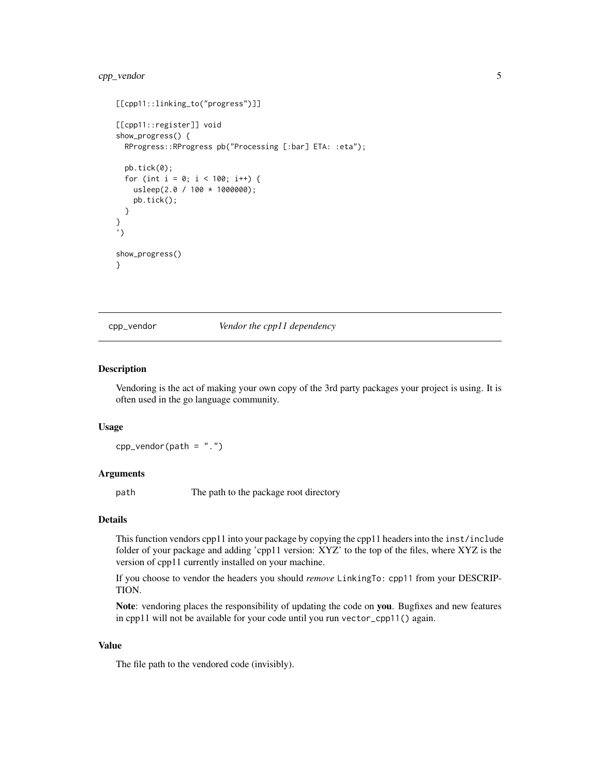# <span id="page-4-0"></span>cpp\_vendor 5

```
[[cpp11::linking_to("progress")]]
[[cpp11::register]] void
show_progress() {
 RProgress::RProgress pb("Processing [:bar] ETA: :eta");
 pb.tick(0);
 for (int i = 0; i < 100; i++) {
   usleep(2.0 / 100 * 1000000);
   pb.tick();
 }
}
')
show_progress()
}
```
cpp\_vendor *Vendor the cpp11 dependency*

#### Description

Vendoring is the act of making your own copy of the 3rd party packages your project is using. It is often used in the go language community.

#### Usage

 $cpp\_vendor(path = "."')$ 

#### Arguments

path The path to the package root directory

#### Details

This function vendors cpp11 into your package by copying the cpp11 headers into the inst/include folder of your package and adding 'cpp11 version: XYZ' to the top of the files, where XYZ is the version of cpp11 currently installed on your machine.

If you choose to vendor the headers you should *remove* LinkingTo: cpp11 from your DESCRIP-TION.

Note: vendoring places the responsibility of updating the code on you. Bugfixes and new features in cpp11 will not be available for your code until you run vector\_cpp11() again.

#### Value

The file path to the vendored code (invisibly).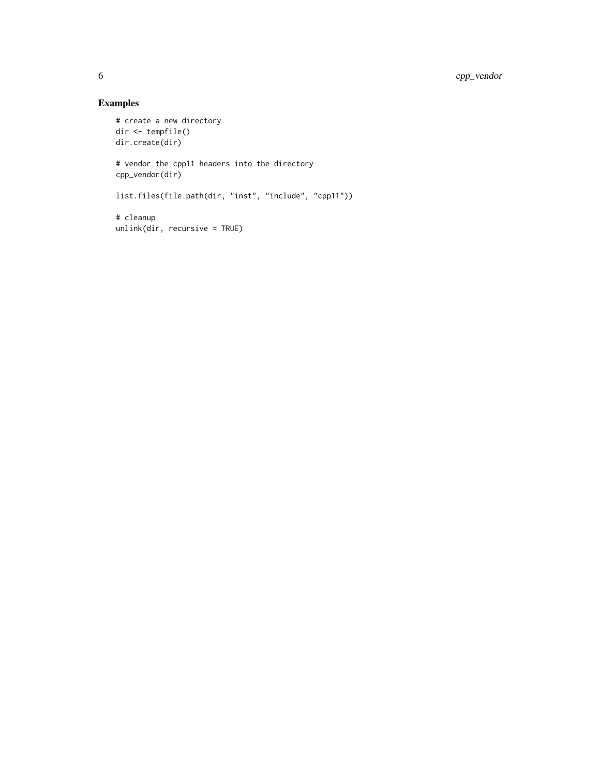# Examples

```
# create a new directory
dir <- tempfile()
dir.create(dir)
# vendor the cpp11 headers into the directory
cpp_vendor(dir)
list.files(file.path(dir, "inst", "include", "cpp11"))
# cleanup
unlink(dir, recursive = TRUE)
```